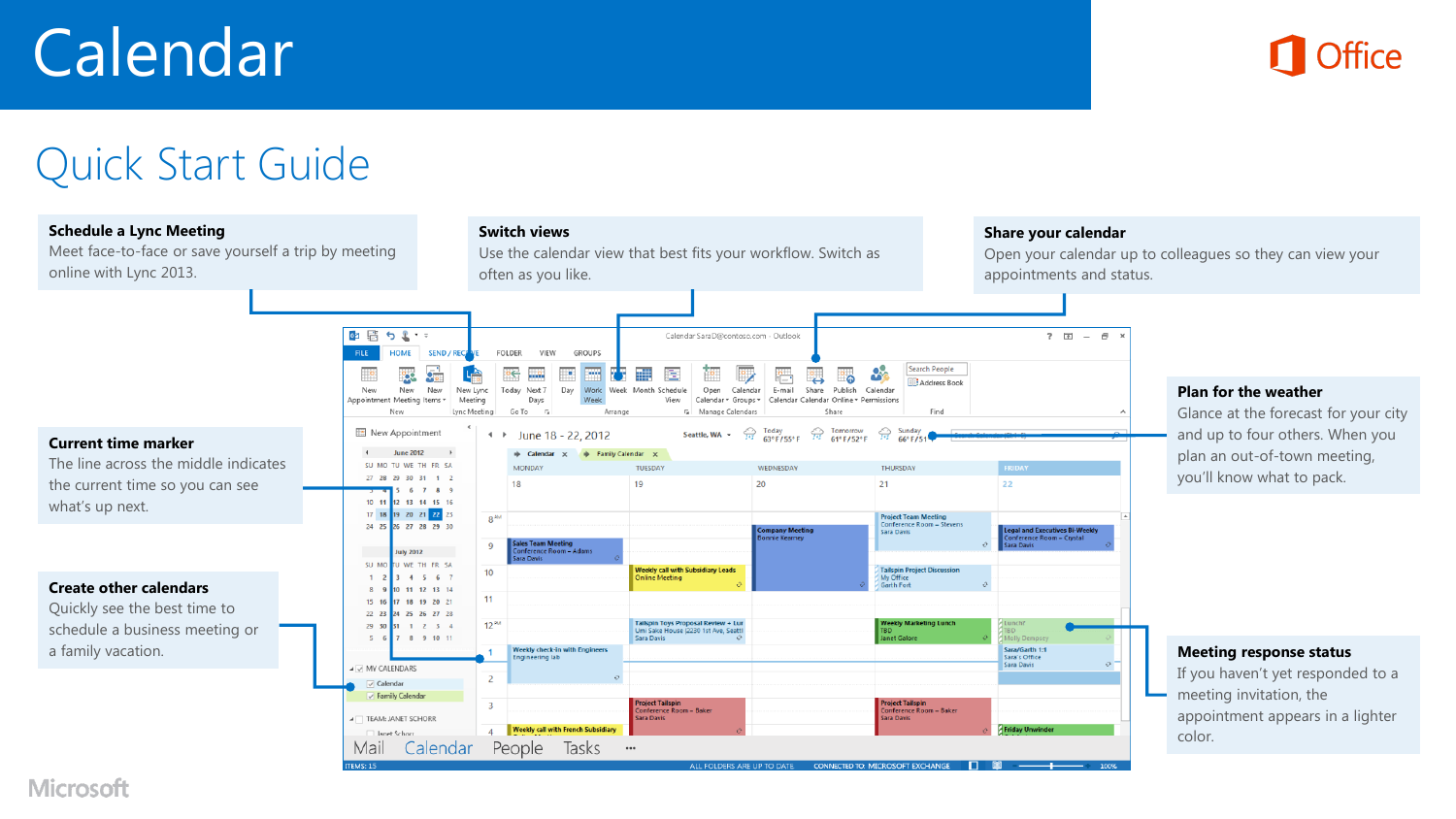# Calendar



## Quick Start Guide



**Microsoft**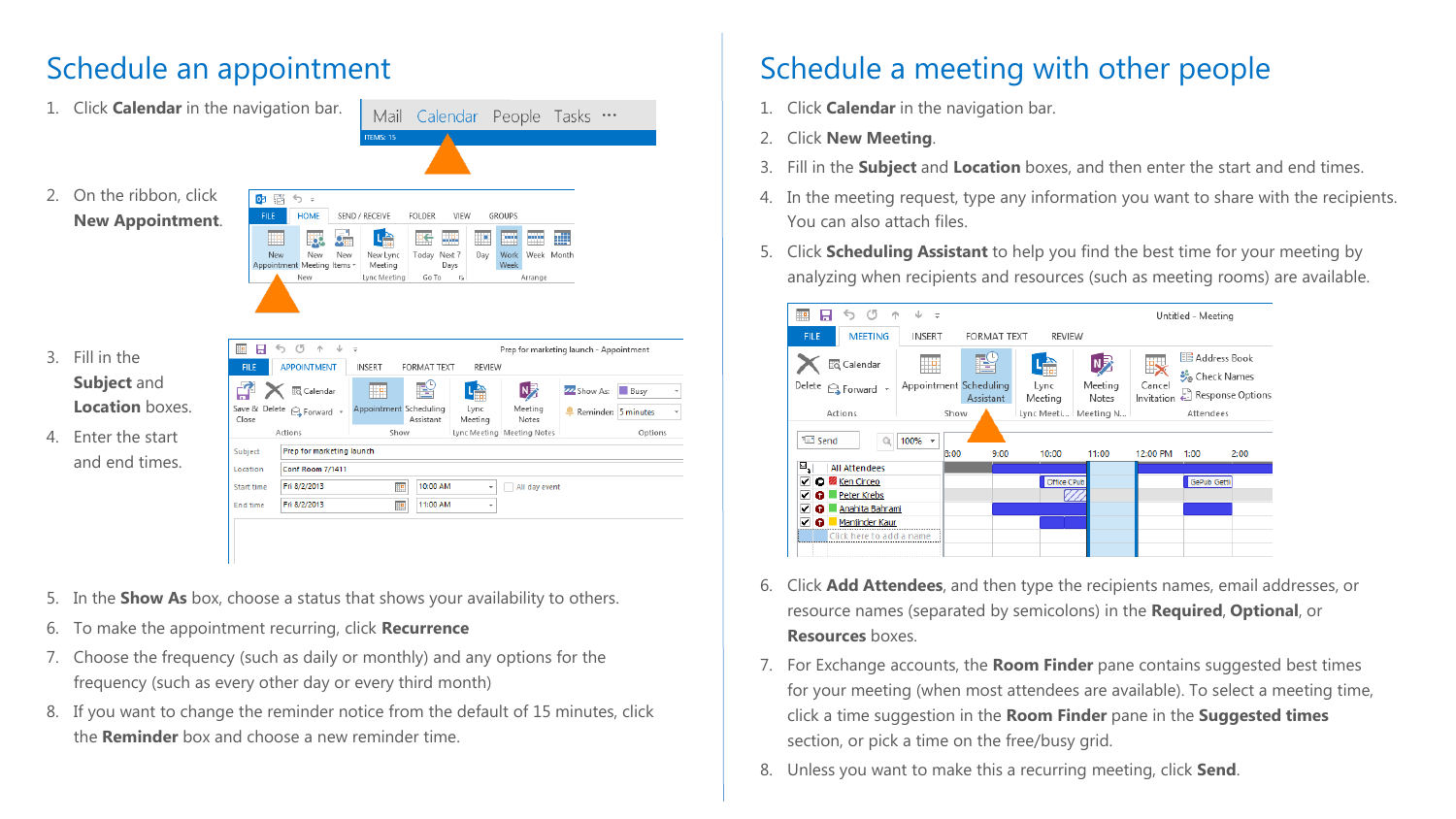### Schedule an appointment

|                  | 1. Click <b>Calendar</b> in the navigation bar. |                                                                                         |                          | Mail Calendar People Tasks                          |                                       |                                         |                                   |
|------------------|-------------------------------------------------|-----------------------------------------------------------------------------------------|--------------------------|-----------------------------------------------------|---------------------------------------|-----------------------------------------|-----------------------------------|
|                  |                                                 |                                                                                         | ITEMS: 15                |                                                     |                                       |                                         |                                   |
|                  | 2. On the ribbon, click                         | ◎ 雷<br>€ ⇒                                                                              |                          |                                                     |                                       |                                         |                                   |
|                  | <b>New Appointment.</b>                         | <b>HOME</b><br><b>FILE</b>                                                              | SEND / RECEIVE           | <b>FOLDER</b><br><b>VIEW</b>                        | <b>GROUPS</b>                         |                                         |                                   |
|                  |                                                 | Ħ۴<br>Vo I<br>New<br>New<br>New<br>Appointment Meeting Items -                          | 哈<br>New Lync<br>Meeting | 坚守<br><u>ma</u><br>₩<br>Today Next 7<br>Day<br>Days | ▥<br>mm<br>Work<br>Week Month<br>Week | 黜                                       |                                   |
|                  |                                                 | New                                                                                     | Lync Meeting             | Go To<br>$\overline{\mathbb{F}_2}$                  | Arrange                               |                                         |                                   |
|                  |                                                 |                                                                                         |                          |                                                     |                                       |                                         |                                   |
|                  |                                                 |                                                                                         |                          |                                                     |                                       |                                         |                                   |
|                  |                                                 |                                                                                         |                          |                                                     |                                       |                                         |                                   |
| $\overline{3}$ . | Fill in the                                     | $\circ$<br>ь<br>小<br>$\downarrow$ $=$<br>日<br>æ<br><b>APPOINTMENT</b><br><b>FILE</b>    | <b>INSERT</b>            | <b>FORMAT TEXT</b>                                  | <b>REVIEW</b>                         | Prep for marketing launch - Appointment |                                   |
|                  | Subject and                                     | ជូ<br><b>EQ</b> Calendar                                                                | ₩e                       | <u>re</u><br>나슴                                     | $N_Z$                                 | ZZ Show As:                             | <b>Busy</b><br>$\bar{\mathrm{v}}$ |
|                  | <b>Location</b> boxes.                          | Save & Delete <a> G<br/> Sorward <br/> <math display="inline">\sim</math><br/>Close</a> | Appointment Scheduling   | Lync<br>Assistant<br>Meeting                        | Meeting<br>Notes                      | Reminder: 5 minutes                     | $\overline{\phantom{a}}$          |
| 4.               | Enter the start                                 | Actions                                                                                 | Show                     |                                                     | Lync Meeting   Meeting Notes          |                                         | Options                           |
|                  |                                                 | Prep for marketing launch<br>Subject                                                    |                          |                                                     |                                       |                                         |                                   |
|                  | and end times.                                  | <b>Conf Room 7/1411</b><br>Location                                                     |                          |                                                     |                                       |                                         |                                   |
|                  |                                                 | Fri 8/2/2013<br>Start time                                                              | H.                       | 10:00 AM                                            | All day event<br>٠                    |                                         |                                   |
|                  |                                                 | Fri 8/2/2013<br><b>End time</b>                                                         | $\mathbb{R}$             | 11:00 AM                                            | ٠                                     |                                         |                                   |
|                  |                                                 |                                                                                         |                          |                                                     |                                       |                                         |                                   |

- 5. In the **Show As** box, choose a status that shows your availability to others.
- 6. To make the appointment recurring, click **Recurrence**
- 7. Choose the frequency (such as daily or monthly) and any options for the frequency (such as every other day or every third month)
- 8. If you want to change the reminder notice from the default of 15 minutes, click the **Reminder** box and choose a new reminder time.

### Schedule a meeting with other people

- 1. Click **Calendar** in the navigation bar.
- 2. Click **New Meeting**.
- 3. Fill in the **Subject** and **Location** boxes, and then enter the start and end times.
- 4. In the meeting request, type any information you want to share with the recipients. You can also attach files.
- 5. Click **Scheduling Assistant** to help you find the best time for your meeting by analyzing when recipients and resources (such as meeting rooms) are available.



- 6. Click **Add Attendees**, and then type the recipients names, email addresses, or resource names (separated by semicolons) in the **Required**, **Optional**, or **Resources** boxes.
- 7. For Exchange accounts, the **Room Finder** pane contains suggested best times for your meeting (when most attendees are available). To select a meeting time, click a time suggestion in the **Room Finder** pane in the **Suggested times** section, or pick a time on the free/busy grid.
- 8. Unless you want to make this a recurring meeting, click **Send**.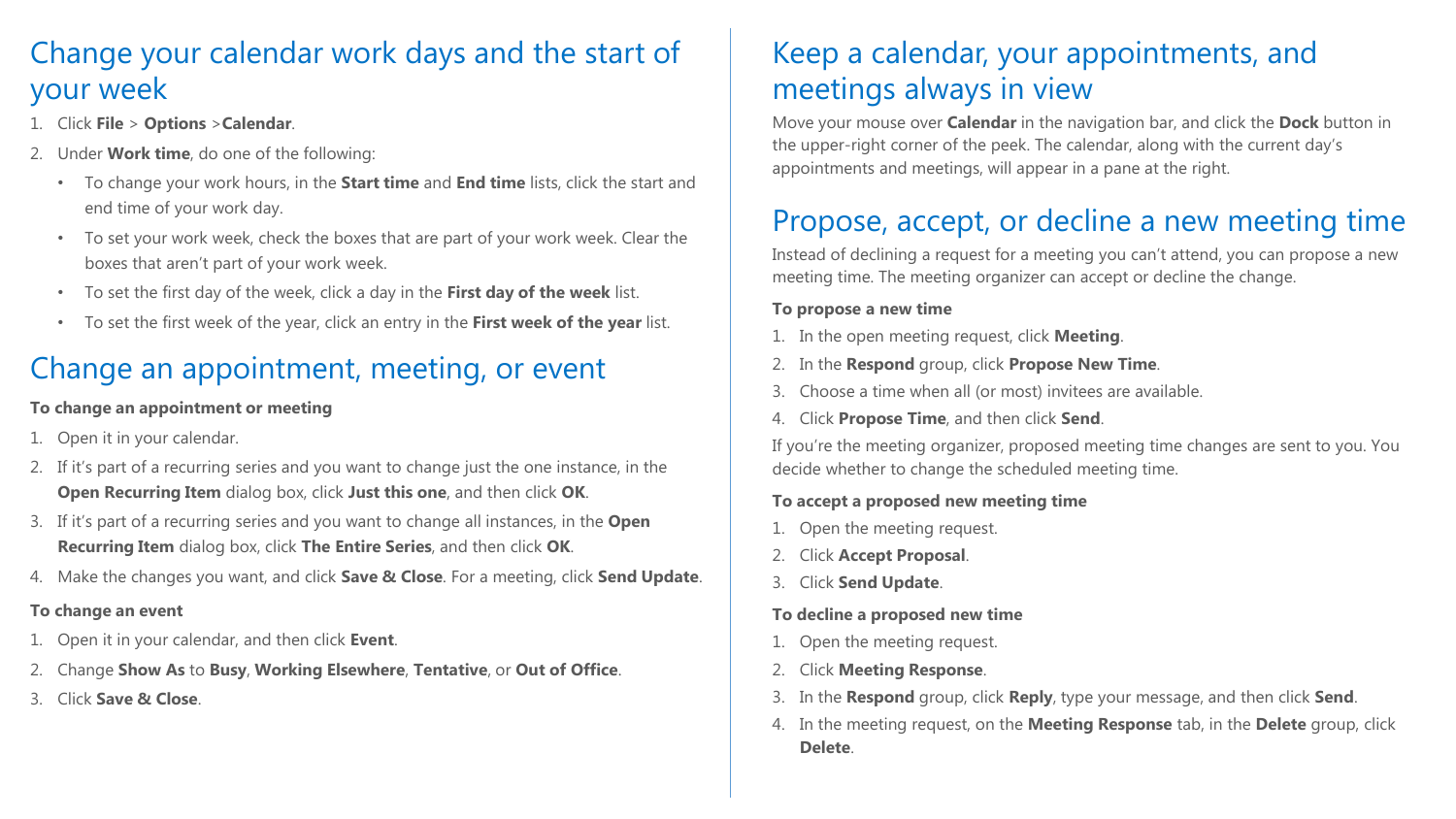### Change your calendar work days and the start of your week

- 1. Click **File** > **Options** >**Calendar**.
- 2. Under **Work time**, do one of the following:
	- To change your work hours, in the **Start time** and **End time** lists, click the start and end time of your work day.
	- To set your work week, check the boxes that are part of your work week. Clear the boxes that aren't part of your work week.
	- To set the first day of the week, click a day in the **First day of the week** list.
	- To set the first week of the year, click an entry in the **First week of the year** list.

### Change an appointment, meeting, or event

#### **To change an appointment or meeting**

- Open it in your calendar.
- 2. If it's part of a recurring series and you want to change just the one instance, in the **Open Recurring Item** dialog box, click **Just this one**, and then click **OK**.
- 3. If it's part of a recurring series and you want to change all instances, in the **Open Recurring Item** dialog box, click **The Entire Series**, and then click **OK**.
- 4. Make the changes you want, and click **Save & Close**. For a meeting, click **Send Update**.

### **To change an event**

- 1. Open it in your calendar, and then click **Event**.
- 2. Change **Show As** to **Busy**, **Working Elsewhere**, **Tentative**, or **Out of Office**.
- 3. Click **Save & Close**.

### Keep a calendar, your appointments, and meetings always in view

Move your mouse over **Calendar** in the navigation bar, and click the **Dock** button in the upper-right corner of the peek. The calendar, along with the current day's appointments and meetings, will appear in a pane at the right.

### Propose, accept, or decline a new meeting time

Instead of declining a request for a meeting you can't attend, you can propose a new meeting time. The meeting organizer can accept or decline the change.

#### **To propose a new time**

- 1. In the open meeting request, click **Meeting**.
- 2. In the **Respond** group, click **Propose New Time**.
- 3. Choose a time when all (or most) invitees are available.
- 4. Click **Propose Time**, and then click **Send**.

If you're the meeting organizer, proposed meeting time changes are sent to you. You decide whether to change the scheduled meeting time.

#### **To accept a proposed new meeting time**

- 1. Open the meeting request.
- 2. Click **Accept Proposal**.
- 3. Click **Send Update**.

### **To decline a proposed new time**

- 1. Open the meeting request.
- 2. Click **Meeting Response**.
- 3. In the **Respond** group, click **Reply**, type your message, and then click **Send**.
- 4. In the meeting request, on the **Meeting Response** tab, in the **Delete** group, click **Delete**.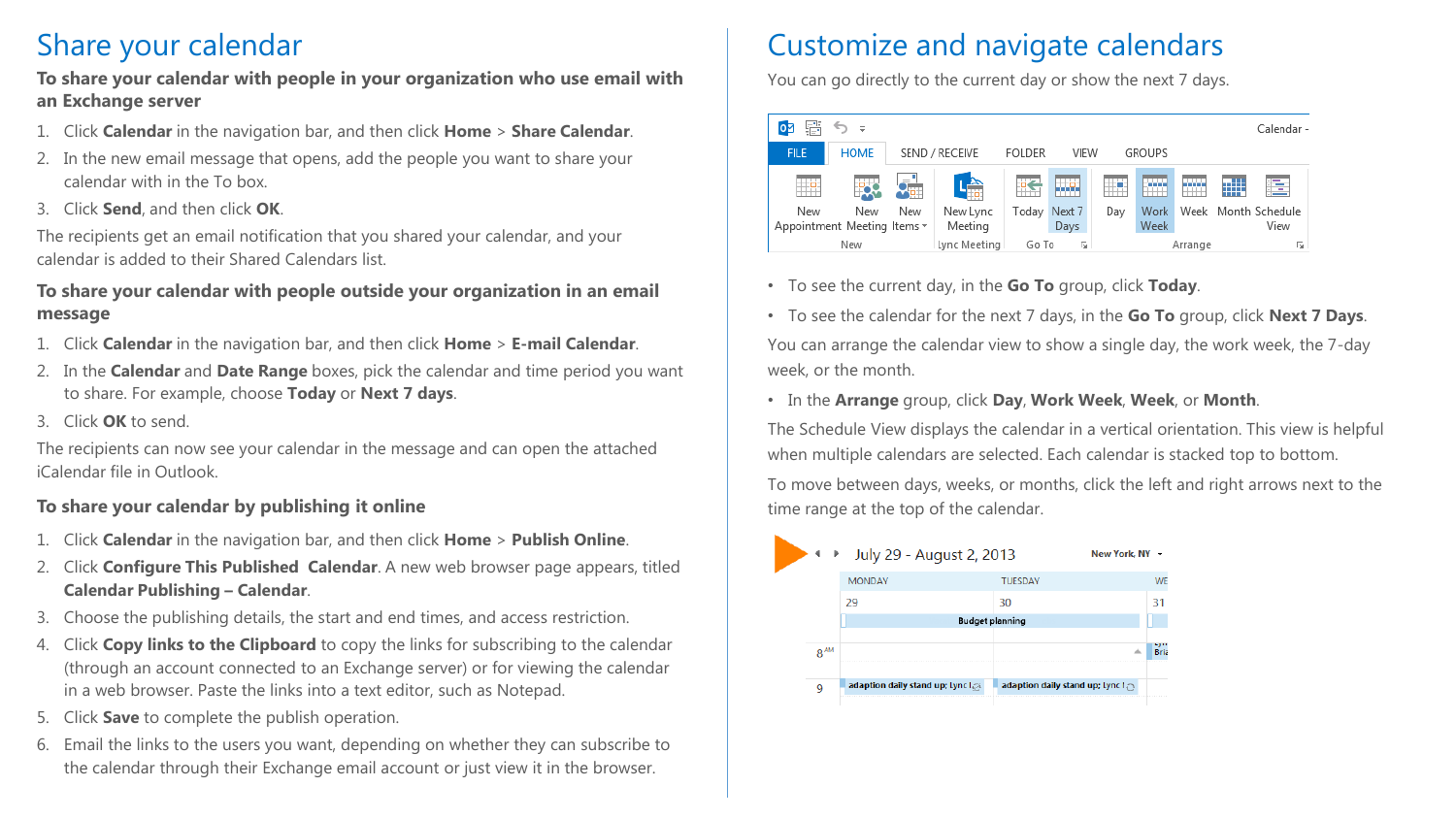### Share your calendar

#### **To share your calendar with people in your organization who use email with an Exchange server**

- 1. Click **Calendar** in the navigation bar, and then click **Home** > **Share Calendar**.
- 2. In the new email message that opens, add the people you want to share your calendar with in the To box.
- 3. Click **Send**, and then click **OK**.

The recipients get an email notification that you shared your calendar, and your calendar is added to their Shared Calendars list.

#### **To share your calendar with people outside your organization in an email message**

- 1. Click **Calendar** in the navigation bar, and then click **Home** > **E-mail Calendar**.
- 2. In the **Calendar** and **Date Range** boxes, pick the calendar and time period you want to share. For example, choose **Today** or **Next 7 days**.
- 3. Click **OK** to send.

The recipients can now see your calendar in the message and can open the attached iCalendar file in Outlook.

### **To share your calendar by publishing it online**

- 1. Click **Calendar** in the navigation bar, and then click **Home** > **Publish Online**.
- 2. Click **Configure This Published Calendar**. A new web browser page appears, titled **Calendar Publishing – Calendar**.
- 3. Choose the publishing details, the start and end times, and access restriction.
- 4. Click **Copy links to the Clipboard** to copy the links for subscribing to the calendar (through an account connected to an Exchange server) or for viewing the calendar in a web browser. Paste the links into a text editor, such as Notepad.
- 5. Click **Save** to complete the publish operation.
- 6. Email the links to the users you want, depending on whether they can subscribe to the calendar through their Exchange email account or just view it in the browser.

### Customize and navigate calendars

You can go directly to the current day or show the next 7 days.



- To see the current day, in the **Go To** group, click **Today**.
- To see the calendar for the next 7 days, in the **Go To** group, click **Next 7 Days**. You can arrange the calendar view to show a single day, the work week, the 7-day week, or the month.

#### • In the **Arrange** group, click **Day**, **Work Week**, **Week**, or **Month**.

The Schedule View displays the calendar in a vertical orientation. This view is helpful when multiple calendars are selected. Each calendar is stacked top to bottom.

To move between days, weeks, or months, click the left and right arrows next to the time range at the top of the calendar.